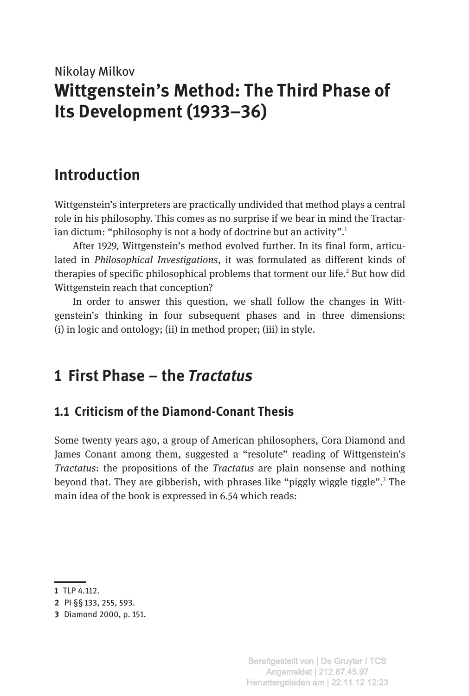# Nikolay Milkov **Wittgenstein's Method: The Third Phase of Its Development (1933–36)**

# **Introduction**

Wittgenstein's interpreters are practically undivided that method plays a central role in his philosophy. This comes as no surprise if we bear in mind the Tractarian dictum: "philosophy is not a body of doctrine but an activity".<sup>1</sup>

After 1929, Wittgenstein's method evolved further. In its final form, articulated in *Philosophical Investigations*, it was formulated as different kinds of therapies of specific philosophical problems that torment our life.<sup>2</sup> But how did Wittgenstein reach that conception?

In order to answer this question, we shall follow the changes in Wittgenstein's thinking in four subsequent phases and in three dimensions: (i) in logic and ontology; (ii) in method proper; (iii) in style.

# **1 First Phase – the** *Tractatus*

### **1.1 Criticism of the Diamond-Conant Thesis**

Some twenty years ago, a group of American philosophers, Cora Diamond and James Conant among them, suggested a "resolute" reading of Wittgenstein's *Tractatus*: the propositions of the *Tractatus* are plain nonsense and nothing beyond that. They are gibberish, with phrases like "piggly wiggle tiggle".<sup>3</sup> The main idea of the book is expressed in 6.54 which reads:

**<sup>1</sup>** TLP 4.112.

**<sup>2</sup>** PI §§ 133, 255, 593.

**<sup>3</sup>** Diamond 2000, p. 151.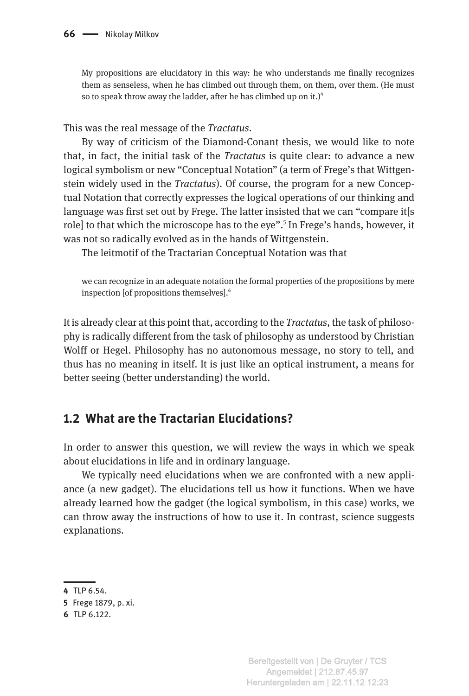My propositions are elucidatory in this way: he who understands me finally recognizes them as senseless, when he has climbed out through them, on them, over them. (He must so to speak throw away the ladder, after he has climbed up on it.) $4$ 

This was the real message of the *Tractatus*.

By way of criticism of the Diamond-Conant thesis, we would like to note that, in fact, the initial task of the *Tractatus* is quite clear: to advance a new logical symbolism or new "Conceptual Notation" (a term of Frege's that Wittgenstein widely used in the *Tractatus*). Of course, the program for a new Conceptual Notation that correctly expresses the logical operations of our thinking and language was first set out by Frege. The latter insisted that we can "compare it [s role] to that which the microscope has to the eye".<sup>5</sup> In Frege's hands, however, it was not so radically evolved as in the hands of Wittgenstein.

The leitmotif of the Tractarian Conceptual Notation was that

we can recognize in an adequate notation the formal properties of the propositions by mere inspection [of propositions themselves].<sup>6</sup>

It is already clear at this point that, according to the *Tractatus*, the task of philosophy is radically different from the task of philosophy as understood by Christian Wolff or Hegel. Philosophy has no autonomous message, no story to tell, and thus has no meaning in itself. It is just like an optical instrument, a means for better seeing (better understanding) the world.

## **1.2 What are the Tractarian Elucidations?**

In order to answer this question, we will review the ways in which we speak about elucidations in life and in ordinary language.

We typically need elucidations when we are confronted with a new appliance (a new gadget). The elucidations tell us how it functions. When we have already learned how the gadget (the logical symbolism, in this case) works, we can throw away the instructions of how to use it. In contrast, science suggests explanations.

**<sup>4</sup>** TLP 6.54.

**<sup>5</sup>** Frege 1879, p. xi.

**<sup>6</sup>** TLP 6.122.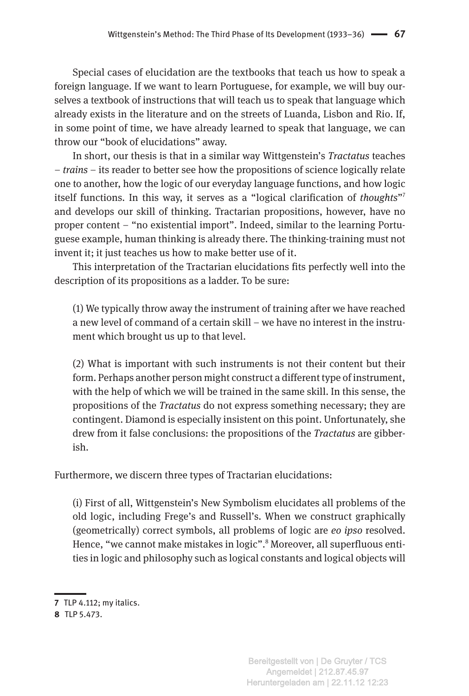Special cases of elucidation are the textbooks that teach us how to speak a foreign language. If we want to learn Portuguese, for example, we will buy ourselves a textbook of instructions that will teach us to speak that language which already exists in the literature and on the streets of Luanda, Lisbon and Rio. If, in some point of time, we have already learned to speak that language, we can throw our "book of elucidations" away.

In short, our thesis is that in a similar way Wittgenstein's *Tractatus* teaches – *trains* – its reader to better see how the propositions of science logically relate one to another, how the logic of our everyday language functions, and how logic itself functions. In this way, it serves as a "logical clarification of *thoughts*"7 and develops our skill of thinking. Tractarian propositions, however, have no proper content – "no existential import". Indeed, similar to the learning Portuguese example, human thinking is already there. The thinking-training must not invent it; it just teaches us how to make better use of it.

This interpretation of the Tractarian elucidations fits perfectly well into the description of its propositions as a ladder. To be sure:

(1) We typically throw away the instrument of training after we have reached a new level of command of a certain skill – we have no interest in the instrument which brought us up to that level.

(2) What is important with such instruments is not their content but their form. Perhaps another person might construct a different type of instrument, with the help of which we will be trained in the same skill. In this sense, the propositions of the *Tractatus* do not express something necessary; they are contingent. Diamond is especially insistent on this point. Unfortunately, she drew from it false conclusions: the propositions of the *Tractatus* are gibberish.

Furthermore, we discern three types of Tractarian elucidations:

(i) First of all, Wittgenstein's New Symbolism elucidates all problems of the old logic, including Frege's and Russell's. When we construct graphically (geometrically) correct symbols, all problems of logic are *eo ipso* resolved. Hence, "we cannot make mistakes in logic".<sup>8</sup> Moreover, all superfluous entities in logic and philosophy such as logical constants and logical objects will

**<sup>7</sup>** TLP 4.112; my italics.

**<sup>8</sup>** TLP 5.473.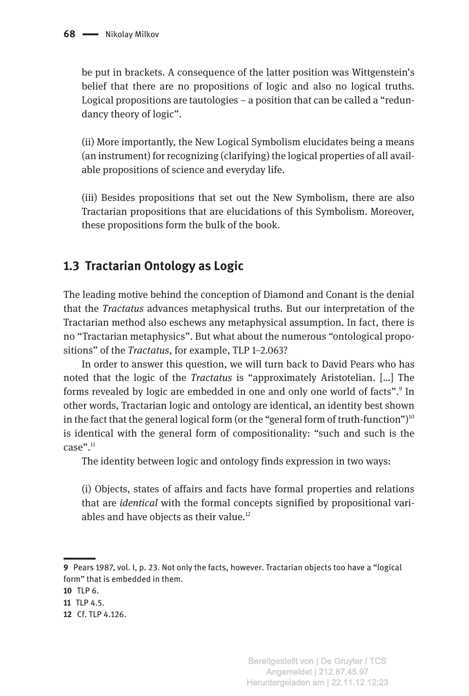be put in brackets. A consequence of the latter position was Wittgenstein's belief that there are no propositions of logic and also no logical truths. Logical propositions are tautologies – a position that can be called a "redundancy theory of logic".

(ii) More importantly, the New Logical Symbolism elucidates being a means (an instrument) for recognizing (clarifying) the logical properties of all available propositions of science and everyday life.

(iii) Besides propositions that set out the New Symbolism, there are also Tractarian propositions that are elucidations of this Symbolism. Moreover, these propositions form the bulk of the book.

## **1.3 Tractarian Ontology as Logic**

The leading motive behind the conception of Diamond and Conant is the denial that the *Tractatus* advances metaphysical truths. But our interpretation of the Tractarian method also eschews any metaphysical assumption. In fact, there is no "Tractarian metaphysics". But what about the numerous "ontological propositions" of the *Tractatus*, for example, TLP 1–2.063?

In order to answer this question, we will turn back to David Pears who has noted that the logic of the *Tractatus* is "approximately Aristotelian. […] The forms revealed by logic are embedded in one and only one world of facts".<sup>9</sup> In other words, Tractarian logic and ontology are identical, an identity best shown in the fact that the general logical form (or the "general form of truth-function")<sup>10</sup> is identical with the general form of compositionality: "such and such is the  $case$ ". $^{11}$ 

The identity between logic and ontology finds expression in two ways:

(i) Objects, states of affairs and facts have formal properties and relations that are *identical* with the formal concepts signified by propositional variables and have objects as their value.<sup>12</sup>

**<sup>9</sup>** Pears 1987, vol. I, p. 23. Not only the facts, however. Tractarian objects too have a "logical form" that is embedded in them.

**<sup>10</sup>** TLP 6.

**<sup>11</sup>** TLP 4.5.

**<sup>12</sup>** Cf. TLP 4.126.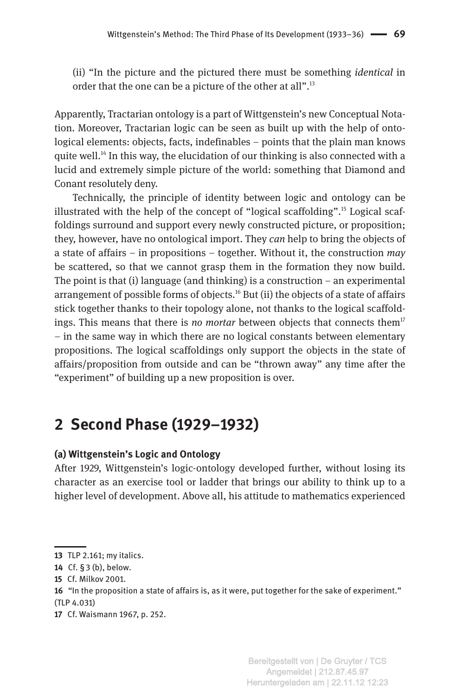(ii) "In the picture and the pictured there must be something *identical* in order that the one can be a picture of the other at all".<sup>13</sup>

Apparently, Tractarian ontology is a part of Wittgenstein's new Conceptual Notation. Moreover, Tractarian logic can be seen as built up with the help of ontological elements: objects, facts, indefinables – points that the plain man knows quite well.<sup>14</sup> In this way, the elucidation of our thinking is also connected with a lucid and extremely simple picture of the world: something that Diamond and Conant resolutely deny.

Technically, the principle of identity between logic and ontology can be illustrated with the help of the concept of "logical scaffolding".15 Logical scaffoldings surround and support every newly constructed picture, or proposition; they, however, have no ontological import. They *can* help to bring the objects of a state of affairs – in propositions – together. Without it, the construction *may* be scattered, so that we cannot grasp them in the formation they now build. The point is that  $(i)$  language (and thinking) is a construction  $-$  an experimental arrangement of possible forms of objects.<sup>16</sup> But (ii) the objects of a state of affairs stick together thanks to their topology alone, not thanks to the logical scaffoldings. This means that there is *no mortar* between objects that connects them<sup>17</sup> – in the same way in which there are no logical constants between elementary propositions. The logical scaffoldings only support the objects in the state of affairs/proposition from outside and can be "thrown away" any time after the "experiment" of building up a new proposition is over.

# **2 Second Phase (1929–1932)**

#### **(a) Wittgenstein's Logic and Ontology**

After 1929, Wittgenstein's logic-ontology developed further, without losing its character as an exercise tool or ladder that brings our ability to think up to a higher level of development. Above all, his attitude to mathematics experienced

- **16** "In the proposition a state of affairs is, as it were, put together for the sake of experiment." (TLP 4.031)
- **17** Cf. Waismann 1967, p. 252.

**<sup>13</sup>** TLP 2.161; my italics.

**<sup>14</sup>** Cf. § 3 (b), below.

**<sup>15</sup>** Cf. Milkov 2001.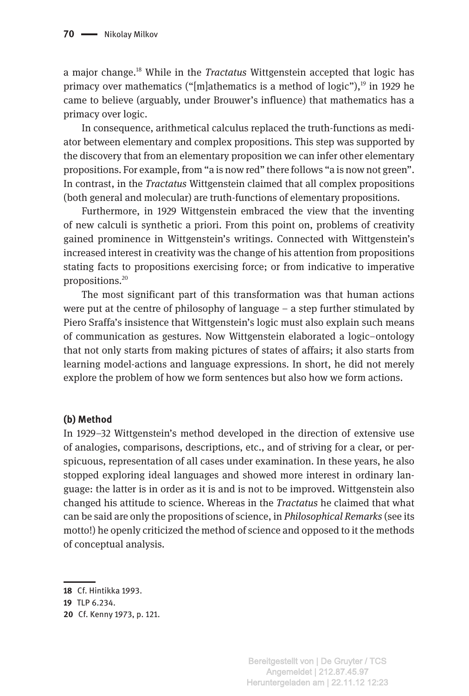a major change.18 While in the *Tractatus* Wittgenstein accepted that logic has primacy over mathematics (" $[m]$ athematics is a method of logic"),<sup>19</sup> in 1929 he came to believe (arguably, under Brouwer's influence) that mathematics has a primacy over logic.

In consequence, arithmetical calculus replaced the truth-functions as mediator between elementary and complex propositions. This step was supported by the discovery that from an elementary proposition we can infer other elementary propositions. For example, from "a is now red" there follows "a is now not green". In contrast, in the *Tractatus* Wittgenstein claimed that all complex propositions (both general and molecular) are truth-functions of elementary propositions.

Furthermore, in 1929 Wittgenstein embraced the view that the inventing of new calculi is synthetic a priori. From this point on, problems of creativity gained prominence in Wittgenstein's writings. Connected with Wittgenstein's increased interest in creativity was the change of his attention from propositions stating facts to propositions exercising force; or from indicative to imperative propositions.20

The most significant part of this transformation was that human actions were put at the centre of philosophy of language – a step further stimulated by Piero Sraffa's insistence that Wittgenstein's logic must also explain such means of communication as gestures. Now Wittgenstein elaborated a logic–ontology that not only starts from making pictures of states of affairs; it also starts from learning model-actions and language expressions. In short, he did not merely explore the problem of how we form sentences but also how we form actions.

#### **(b) Method**

In 1929–32 Wittgenstein's method developed in the direction of extensive use of analogies, comparisons, descriptions, etc., and of striving for a clear, or perspicuous, representation of all cases under examination. In these years, he also stopped exploring ideal languages and showed more interest in ordinary language: the latter is in order as it is and is not to be improved. Wittgenstein also changed his attitude to science. Whereas in the *Tractatus* he claimed that what can be said are only the propositions of science, in *Philosophical Remarks* (see its motto!) he openly criticized the method of science and opposed to it the methods of conceptual analysis.

**<sup>18</sup>** Cf. Hintikka 1993.

**<sup>19</sup>** TLP 6.234.

**<sup>20</sup>** Cf. Kenny 1973, p. 121.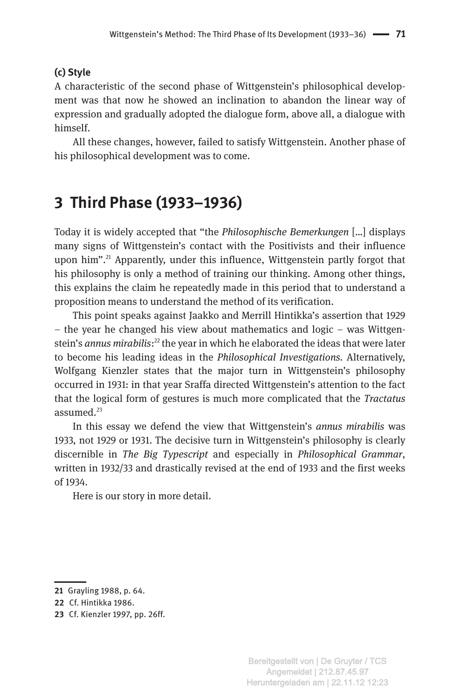### **(c) Style**

A characteristic of the second phase of Wittgenstein's philosophical development was that now he showed an inclination to abandon the linear way of expression and gradually adopted the dialogue form, above all, a dialogue with himself.

All these changes, however, failed to satisfy Wittgenstein. Another phase of his philosophical development was to come.

# **3 Third Phase (1933–1936)**

Today it is widely accepted that "the *Philosophische Bemerkungen* […] displays many signs of Wittgenstein's contact with the Positivists and their influence upon him".<sup>21</sup> Apparently, under this influence, Wittgenstein partly forgot that his philosophy is only a method of training our thinking. Among other things, this explains the claim he repeatedly made in this period that to understand a proposition means to understand the method of its verification.

This point speaks against Jaakko and Merrill Hintikka's assertion that 1929 – the year he changed his view about mathematics and logic – was Wittgenstein's *annus mirabilis*:<sup>22</sup> the year in which he elaborated the ideas that were later to become his leading ideas in the *Philosophical Investigations.* Alternatively, Wolfgang Kienzler states that the major turn in Wittgenstein's philosophy occurred in 1931: in that year Sraffa directed Wittgenstein's attention to the fact that the logical form of gestures is much more complicated that the *Tractatus* assumed. $^{23}$ 

In this essay we defend the view that Wittgenstein's *annus mirabilis* was 1933, not 1929 or 1931. The decisive turn in Wittgenstein's philosophy is clearly discernible in *The Big Typescript* and especially in *Philosophical Grammar*, written in 1932/33 and drastically revised at the end of 1933 and the first weeks of 1934.

Here is our story in more detail.

**<sup>21</sup>** Grayling 1988, p. 64.

**<sup>22</sup>** Cf. Hintikka 1986.

**<sup>23</sup>** Cf. Kienzler 1997, pp. 26ff.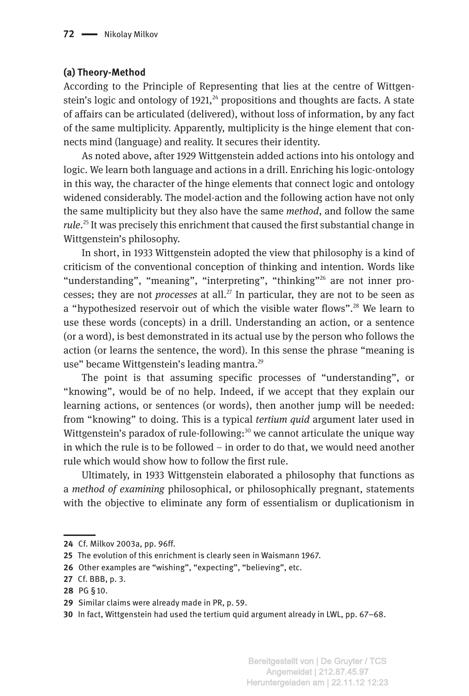#### **(a) Theory-Method**

According to the Principle of Representing that lies at the centre of Wittgenstein's logic and ontology of 1921, $^{24}$  propositions and thoughts are facts. A state of affairs can be articulated (delivered), without loss of information, by any fact of the same multiplicity. Apparently, multiplicity is the hinge element that connects mind (language) and reality. It secures their identity.

As noted above, after 1929 Wittgenstein added actions into his ontology and logic. We learn both language and actions in a drill. Enriching his logic-ontology in this way, the character of the hinge elements that connect logic and ontology widened considerably. The model-action and the following action have not only the same multiplicity but they also have the same *method*, and follow the same *rule*. 25 It was precisely this enrichment that caused the first substantial change in Wittgenstein's philosophy.

In short, in 1933 Wittgenstein adopted the view that philosophy is a kind of criticism of the conventional conception of thinking and intention. Words like "understanding", "meaning", "interpreting", "thinking"<sup>26</sup> are not inner processes; they are not *processes* at all.<sup>27</sup> In particular, they are not to be seen as a "hypothesized reservoir out of which the visible water flows".<sup>28</sup> We learn to use these words (concepts) in a drill. Understanding an action, or a sentence (or a word), is best demonstrated in its actual use by the person who follows the action (or learns the sentence, the word). In this sense the phrase "meaning is use" became Wittgenstein's leading mantra.<sup>29</sup>

The point is that assuming specific processes of "understanding", or "knowing", would be of no help. Indeed, if we accept that they explain our learning actions, or sentences (or words), then another jump will be needed: from "knowing" to doing. This is a typical *tertium quid* argument later used in Wittgenstein's paradox of rule-following:<sup>30</sup> we cannot articulate the unique way in which the rule is to be followed – in order to do that, we would need another rule which would show how to follow the first rule.

Ultimately, in 1933 Wittgenstein elaborated a philosophy that functions as a *method of examining* philosophical, or philosophically pregnant, statements with the objective to eliminate any form of essentialism or duplicationism in

**<sup>24</sup>** Cf. Milkov 2003a, pp. 96ff.

**<sup>25</sup>** The evolution of this enrichment is clearly seen in Waismann 1967.

**<sup>26</sup>** Other examples are "wishing", "expecting", "believing", etc.

**<sup>27</sup>** Cf. BBB, p. 3.

**<sup>28</sup>** PG § 10.

**<sup>29</sup>** Similar claims were already made in PR, p. 59.

**<sup>30</sup>** In fact, Wittgenstein had used the tertium quid argument already in LWL, pp. 67–68.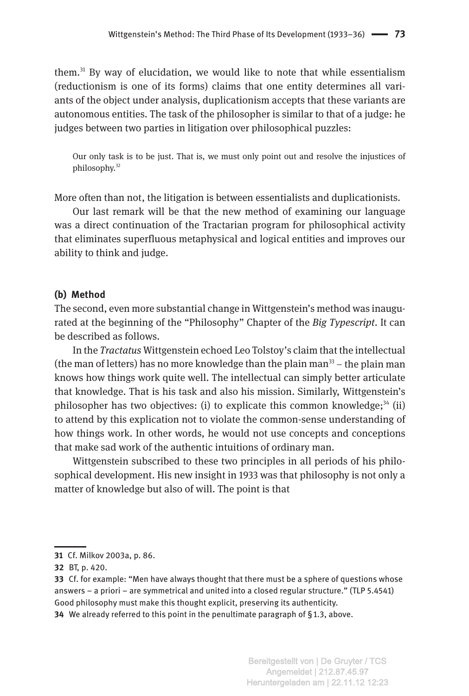them. $31$  By way of elucidation, we would like to note that while essentialism (reductionism is one of its forms) claims that one entity determines all variants of the object under analysis, duplicationism accepts that these variants are autonomous entities. The task of the philosopher is similar to that of a judge: he judges between two parties in litigation over philosophical puzzles:

Our only task is to be just. That is, we must only point out and resolve the injustices of philosophy.32

More often than not, the litigation is between essentialists and duplicationists.

Our last remark will be that the new method of examining our language was a direct continuation of the Tractarian program for philosophical activity that eliminates superfluous metaphysical and logical entities and improves our ability to think and judge.

#### **(b) Method**

The second, even more substantial change in Wittgenstein's method was inaugurated at the beginning of the "Philosophy" Chapter of the *Big Typescript*. It can be described as follows.

In the *Tractatus* Wittgenstein echoed Leo Tolstoy's claim that the intellectual (the man of letters) has no more knowledge than the plain man<sup>33</sup> – the plain man knows how things work quite well. The intellectual can simply better articulate that knowledge. That is his task and also his mission. Similarly, Wittgenstein's philosopher has two objectives: (i) to explicate this common knowledge;<sup>34</sup> (ii) to attend by this explication not to violate the common-sense understanding of how things work. In other words, he would not use concepts and conceptions that make sad work of the authentic intuitions of ordinary man.

Wittgenstein subscribed to these two principles in all periods of his philosophical development. His new insight in 1933 was that philosophy is not only a matter of knowledge but also of will. The point is that

**<sup>31</sup>** Cf. Milkov 2003a, p. 86.

**<sup>32</sup>** BT, p. 420.

**<sup>33</sup>** Cf. for example: "Men have always thought that there must be a sphere of questions whose answers – a priori – are symmetrical and united into a closed regular structure." (TLP 5.4541) Good philosophy must make this thought explicit, preserving its authenticity.

**<sup>34</sup>** We already referred to this point in the penultimate paragraph of §1.3, above.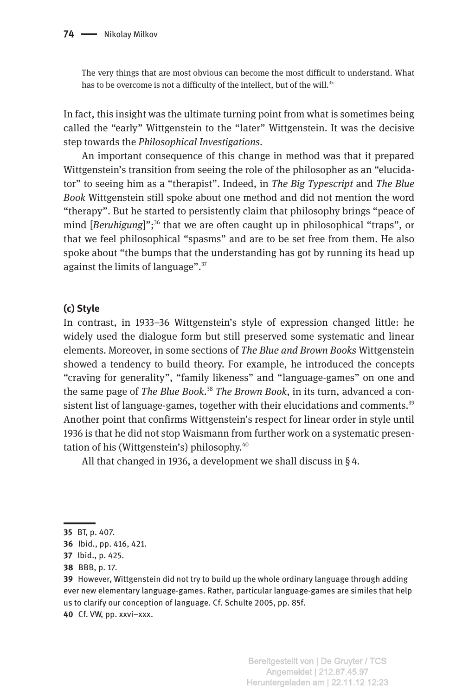#### 74 - Nikolay Milkov

The very things that are most obvious can become the most difficult to understand. What has to be overcome is not a difficulty of the intellect, but of the will.<sup>35</sup>

In fact, this insight was the ultimate turning point from what is sometimes being called the "early" Wittgenstein to the "later" Wittgenstein. It was the decisive step towards the *Philosophical Investigations*.

An important consequence of this change in method was that it prepared Wittgenstein's transition from seeing the role of the philosopher as an "elucidator" to seeing him as a "therapist". Indeed, in *The Big Typescript* and *The Blue Book* Wittgenstein still spoke about one method and did not mention the word "therapy". But he started to persistently claim that philosophy brings "peace of mind *[Beruhigung]*";<sup>36</sup> that we are often caught up in philosophical "traps", or that we feel philosophical "spasms" and are to be set free from them. He also spoke about "the bumps that the understanding has got by running its head up against the limits of language".<sup>37</sup>

#### **(c) Style**

In contrast, in 1933–36 Wittgenstein's style of expression changed little: he widely used the dialogue form but still preserved some systematic and linear elements. Moreover, in some sections of *The Blue and Brown Books* Wittgenstein showed a tendency to build theory. For example, he introduced the concepts "craving for generality", "family likeness" and "language-games" on one and the same page of *The Blue Book*. <sup>38</sup> *The Brown Book*, in its turn, advanced a consistent list of language-games, together with their elucidations and comments.<sup>39</sup> Another point that confirms Wittgenstein's respect for linear order in style until 1936 is that he did not stop Waismann from further work on a systematic presentation of his (Wittgenstein's) philosophy.40

All that changed in 1936, a development we shall discuss in § 4.

**<sup>35</sup>** BT, p. 407.

**<sup>36</sup>** Ibid., pp. 416, 421.

**<sup>37</sup>** Ibid., p. 425.

**<sup>38</sup>** BBB, p. 17.

**<sup>39</sup>** However, Wittgenstein did not try to build up the whole ordinary language through adding ever new elementary language-games. Rather, particular language-games are similes that help us to clarify our conception of language. Cf. Schulte 2005, pp. 85f.

**<sup>40</sup>** Cf. VW, pp. xxvi–xxx.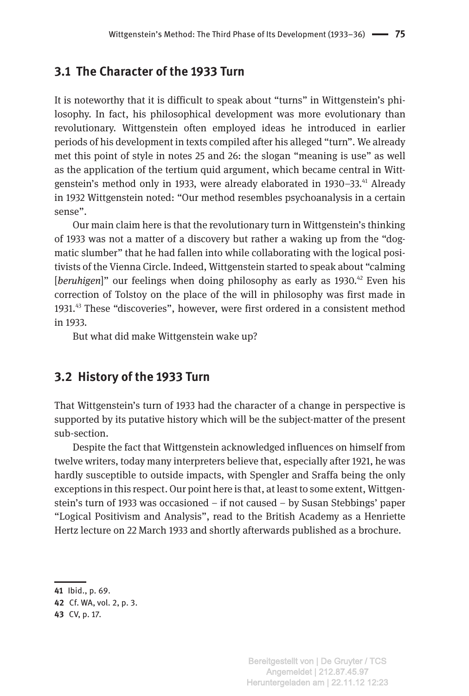### **3.1 The Character of the 1933 Turn**

It is noteworthy that it is difficult to speak about "turns" in Wittgenstein's philosophy. In fact, his philosophical development was more evolutionary than revolutionary. Wittgenstein often employed ideas he introduced in earlier periods of his development in texts compiled after his alleged "turn". We already met this point of style in notes 25 and 26: the slogan "meaning is use" as well as the application of the tertium quid argument, which became central in Wittgenstein's method only in 1933, were already elaborated in 1930–33.41 Already in 1932 Wittgenstein noted: "Our method resembles psychoanalysis in a certain sense".

Our main claim here is that the revolutionary turn in Wittgenstein's thinking of 1933 was not a matter of a discovery but rather a waking up from the "dogmatic slumber" that he had fallen into while collaborating with the logical positivists of the Vienna Circle. Indeed, Wittgenstein started to speak about "calming *[beruhigen]*" our feelings when doing philosophy as early as 1930.<sup>42</sup> Even his correction of Tolstoy on the place of the will in philosophy was first made in 1931.<sup>43</sup> These "discoveries", however, were first ordered in a consistent method in 1933.

But what did make Wittgenstein wake up?

### **3.2 History of the 1933 Turn**

That Wittgenstein's turn of 1933 had the character of a change in perspective is supported by its putative history which will be the subject-matter of the present sub-section.

Despite the fact that Wittgenstein acknowledged influences on himself from twelve writers, today many interpreters believe that, especially after 1921, he was hardly susceptible to outside impacts, with Spengler and Sraffa being the only exceptions in this respect. Our point here is that, at least to some extent, Wittgenstein's turn of 1933 was occasioned – if not caused – by Susan Stebbings' paper "Logical Positivism and Analysis", read to the British Academy as a Henriette Hertz lecture on 22 March 1933 and shortly afterwards published as a brochure.

**<sup>41</sup>** Ibid., p. 69.

**<sup>42</sup>** Cf. WA, vol. 2, p. 3.

**<sup>43</sup>** CV, p. 17.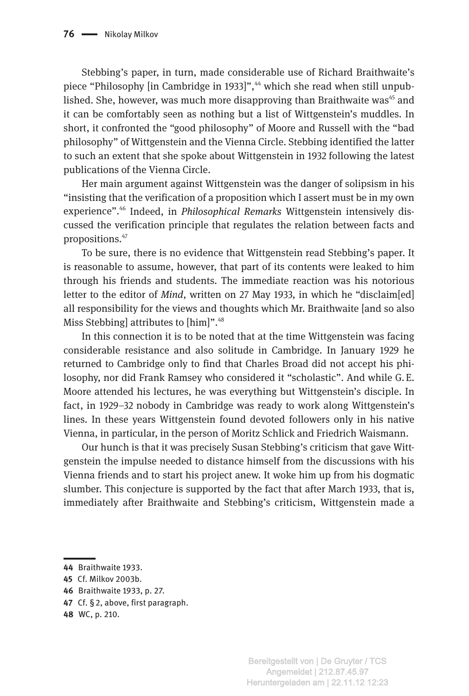Stebbing's paper, in turn, made considerable use of Richard Braithwaite's piece "Philosophy lin Cambridge in 1933]", <sup>44</sup> which she read when still unpublished. She, however, was much more disapproving than Braithwaite was<sup>45</sup> and it can be comfortably seen as nothing but a list of Wittgenstein's muddles. In short, it confronted the "good philosophy" of Moore and Russell with the "bad philosophy" of Wittgenstein and the Vienna Circle. Stebbing identified the latter to such an extent that she spoke about Wittgenstein in 1932 following the latest publications of the Vienna Circle.

Her main argument against Wittgenstein was the danger of solipsism in his "insisting that the verification of a proposition which I assert must be in my own experience".46 Indeed, in *Philosophical Remarks* Wittgenstein intensively discussed the verification principle that regulates the relation between facts and propositions.<sup>47</sup>

To be sure, there is no evidence that Wittgenstein read Stebbing's paper. It is reasonable to assume, however, that part of its contents were leaked to him through his friends and students. The immediate reaction was his notorious letter to the editor of *Mind*, written on 27 May 1933, in which he "disclaim[ed] all responsibility for the views and thoughts which Mr. Braithwaite [and so also Miss Stebbing] attributes to [him]".<sup>48</sup>

In this connection it is to be noted that at the time Wittgenstein was facing considerable resistance and also solitude in Cambridge. In January 1929 he returned to Cambridge only to find that Charles Broad did not accept his philosophy, nor did Frank Ramsey who considered it "scholastic". And while G. E. Moore attended his lectures, he was everything but Wittgenstein's disciple. In fact, in 1929–32 nobody in Cambridge was ready to work along Wittgenstein's lines. In these years Wittgenstein found devoted followers only in his native Vienna, in particular, in the person of Moritz Schlick and Friedrich Waismann.

Our hunch is that it was precisely Susan Stebbing's criticism that gave Wittgenstein the impulse needed to distance himself from the discussions with his Vienna friends and to start his project anew. It woke him up from his dogmatic slumber. This conjecture is supported by the fact that after March 1933, that is, immediately after Braithwaite and Stebbing's criticism, Wittgenstein made a

**<sup>44</sup>** Braithwaite 1933.

**<sup>45</sup>** Cf. Milkov 2003b.

**<sup>46</sup>** Braithwaite 1933, p. 27.

<sup>47</sup> Cf. § 2, above, first paragraph.

**<sup>48</sup>** WC, p. 210.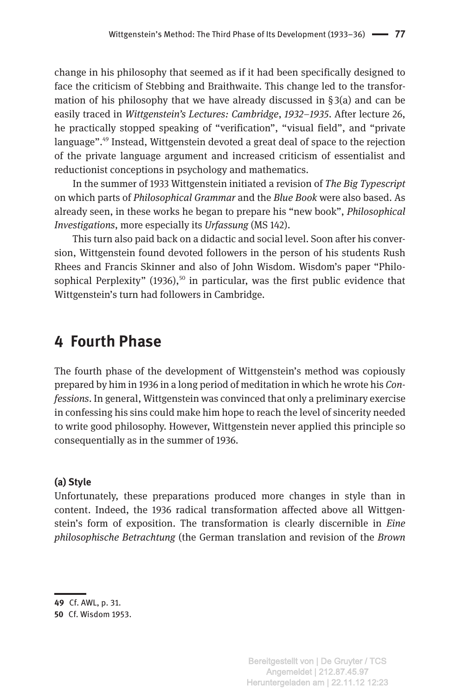change in his philosophy that seemed as if it had been specifically designed to face the criticism of Stebbing and Braithwaite. This change led to the transformation of his philosophy that we have already discussed in  $\S 3(a)$  and can be easily traced in *Wittgenstein's Lectures: Cambridge*, *1932–1935*. After lecture 26, he practically stopped speaking of "verification", "visual field", and "private language".<sup>49</sup> Instead, Wittgenstein devoted a great deal of space to the rejection of the private language argument and increased criticism of essentialist and reductionist conceptions in psychology and mathematics.

In the summer of 1933 Wittgenstein initiated a revision of *The Big Typescript* on which parts of *Philosophical Grammar* and the *Blue Book* were also based. As already seen, in these works he began to prepare his "new book", *Philosophical Investigations*, more especially its *Urfassung* (MS 142).

This turn also paid back on a didactic and social level. Soon after his conversion, Wittgenstein found devoted followers in the person of his students Rush Rhees and Francis Skinner and also of John Wisdom. Wisdom's paper "Philosophical Perplexity" (1936),<sup>50</sup> in particular, was the first public evidence that Wittgenstein's turn had followers in Cambridge.

# **4 Fourth Phase**

The fourth phase of the development of Wittgenstein's method was copiously prepared by him in 1936 in a long period of meditation in which he wrote his *Confessions*. In general, Wittgenstein was convinced that only a preliminary exercise in confessing his sins could make him hope to reach the level of sincerity needed to write good philosophy. However, Wittgenstein never applied this principle so consequentially as in the summer of 1936.

### **(a) Style**

Unfortunately, these preparations produced more changes in style than in content. Indeed, the 1936 radical transformation affected above all Wittgenstein's form of exposition. The transformation is clearly discernible in *Eine philosophische Betrachtung* (the German translation and revision of the *Brown* 

**<sup>49</sup>** Cf. AWL, p. 31.

**<sup>50</sup>** Cf. Wisdom 1953.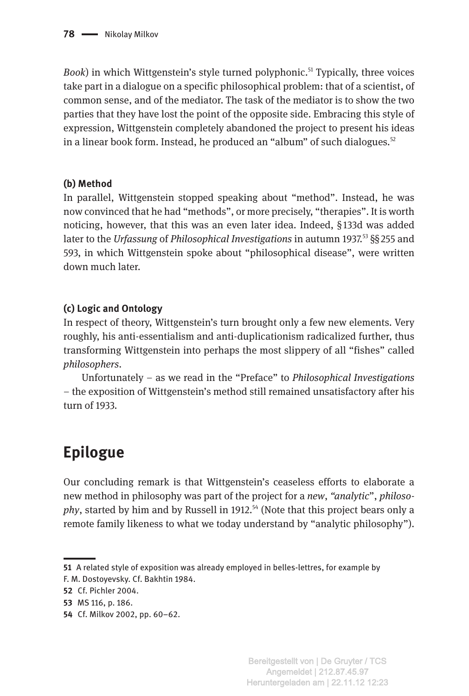*Book*) in which Wittgenstein's style turned polyphonic.<sup>51</sup> Typically, three voices take part in a dialogue on a specific philosophical problem: that of a scientist, of common sense, and of the mediator. The task of the mediator is to show the two parties that they have lost the point of the opposite side. Embracing this style of expression, Wittgenstein completely abandoned the project to present his ideas in a linear book form. Instead, he produced an "album" of such dialogues.<sup>52</sup>

### **(b) Method**

In parallel, Wittgenstein stopped speaking about "method". Instead, he was now convinced that he had "methods", or more precisely, "therapies". It is worth noticing, however, that this was an even later idea. Indeed, § 133d was added later to the *Urfassung* of *Philosophical Investigations* in autumn 1937.53 §§ 255 and 593, in which Wittgenstein spoke about "philosophical disease", were written down much later.

### **(c) Logic and Ontology**

In respect of theory, Wittgenstein's turn brought only a few new elements. Very roughly, his anti-essentialism and anti-duplicationism radicalized further, thus transforming Wittgenstein into perhaps the most slippery of all "fishes" called *philosophers*.

Unfortunately – as we read in the "Preface" to *Philosophical Investigations* – the exposition of Wittgenstein's method still remained unsatisfactory after his turn of 1933.

# **Epilogue**

Our concluding remark is that Wittgenstein's ceaseless efforts to elaborate a new method in philosophy was part of the project for a *new*, *"analytic*", *philosophy*, started by him and by Russell in 1912.<sup>54</sup> (Note that this project bears only a remote family likeness to what we today understand by "analytic philosophy").

**54** Cf. Milkov 2002, pp. 60–62.

**<sup>51</sup>** A related style of exposition was already employed in belles-lettres, for example by F. M. Dostoyevsky. Cf. Bakhtin 1984.

**<sup>52</sup>** Cf. Pichler 2004.

**<sup>53</sup>** MS 116, p. 186.